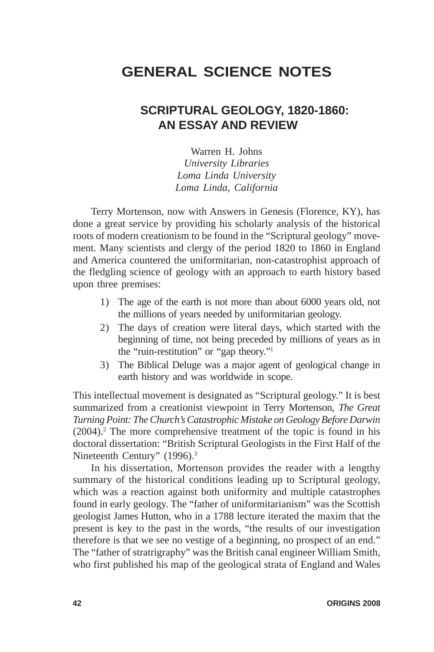# **GENERAL SCIENCE NOTES**

## **SCRIPTURAL GEOLOGY, 1820-1860: AN ESSAY AND REVIEW**

Warren H. Johns *University Libraries Loma Linda University Loma Linda, California*

Terry Mortenson, now with Answers in Genesis (Florence, KY), has done a great service by providing his scholarly analysis of the historical roots of modern creationism to be found in the "Scriptural geology" movement. Many scientists and clergy of the period 1820 to 1860 in England and America countered the uniformitarian, non-catastrophist approach of the fledgling science of geology with an approach to earth history based upon three premises:

- 1) The age of the earth is not more than about 6000 years old, not the millions of years needed by uniformitarian geology.
- 2) The days of creation were literal days, which started with the beginning of time, not being preceded by millions of years as in the "ruin-restitution" or "gap theory."1
- 3) The Biblical Deluge was a major agent of geological change in earth history and was worldwide in scope.

This intellectual movement is designated as "Scriptural geology." It is best summarized from a creationist viewpoint in Terry Mortenson, *The Great Turning Point: The Church's Catastrophic Mistake on Geology Before Darwin* (2004).<sup>2</sup> The more comprehensive treatment of the topic is found in his doctoral dissertation: "British Scriptural Geologists in the First Half of the Nineteenth Century" (1996).<sup>3</sup>

In his dissertation, Mortenson provides the reader with a lengthy summary of the historical conditions leading up to Scriptural geology, which was a reaction against both uniformity and multiple catastrophes found in early geology. The "father of uniformitarianism" was the Scottish geologist James Hutton, who in a 1788 lecture iterated the maxim that the present is key to the past in the words, "the results of our investigation therefore is that we see no vestige of a beginning, no prospect of an end." The "father of stratrigraphy" was the British canal engineer William Smith, who first published his map of the geological strata of England and Wales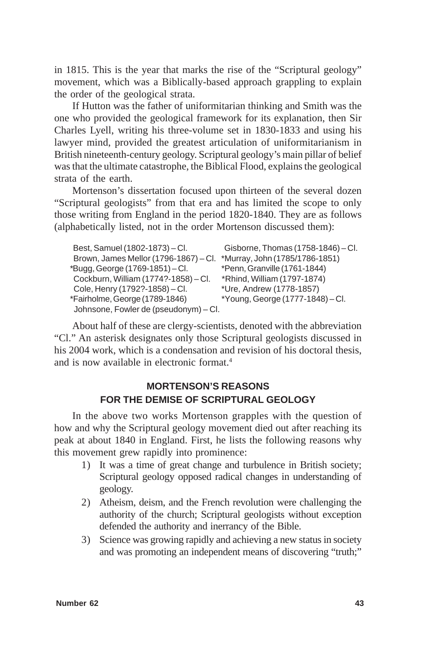in 1815. This is the year that marks the rise of the "Scriptural geology" movement, which was a Biblically-based approach grappling to explain the order of the geological strata.

If Hutton was the father of uniformitarian thinking and Smith was the one who provided the geological framework for its explanation, then Sir Charles Lyell, writing his three-volume set in 1830-1833 and using his lawyer mind, provided the greatest articulation of uniformitarianism in British nineteenth-century geology. Scriptural geology's main pillar of belief was that the ultimate catastrophe, the Biblical Flood, explains the geological strata of the earth.

Mortenson's dissertation focused upon thirteen of the several dozen "Scriptural geologists" from that era and has limited the scope to only those writing from England in the period 1820-1840. They are as follows (alphabetically listed, not in the order Mortenson discussed them):

| Best, Samuel (1802-1873) - Cl.        | Gisborne, Thomas (1758-1846) - Cl. |
|---------------------------------------|------------------------------------|
| Brown, James Mellor (1796-1867) - Cl. | *Murray, John (1785/1786-1851)     |
| *Bugg, George (1769-1851) – Cl.       | *Penn, Granville (1761-1844)       |
| Cockburn, William (1774?-1858) - Cl.  | *Rhind, William (1797-1874)        |
| Cole, Henry (1792?-1858) - Cl.        | *Ure, Andrew (1778-1857)           |
| *Fairholme, George (1789-1846)        | *Young, George (1777-1848) - Cl.   |
| Johnsone, Fowler de (pseudonym) – Cl. |                                    |
|                                       |                                    |

About half of these are clergy-scientists, denoted with the abbreviation "Cl." An asterisk designates only those Scriptural geologists discussed in his 2004 work, which is a condensation and revision of his doctoral thesis, and is now available in electronic format.4

## **MORTENSON'S REASONS FOR THE DEMISE OF SCRIPTURAL GEOLOGY**

In the above two works Mortenson grapples with the question of how and why the Scriptural geology movement died out after reaching its peak at about 1840 in England. First, he lists the following reasons why this movement grew rapidly into prominence:

- 1) It was a time of great change and turbulence in British society; Scriptural geology opposed radical changes in understanding of geology.
- 2) Atheism, deism, and the French revolution were challenging the authority of the church; Scriptural geologists without exception defended the authority and inerrancy of the Bible.
- 3) Science was growing rapidly and achieving a new status in society and was promoting an independent means of discovering "truth;"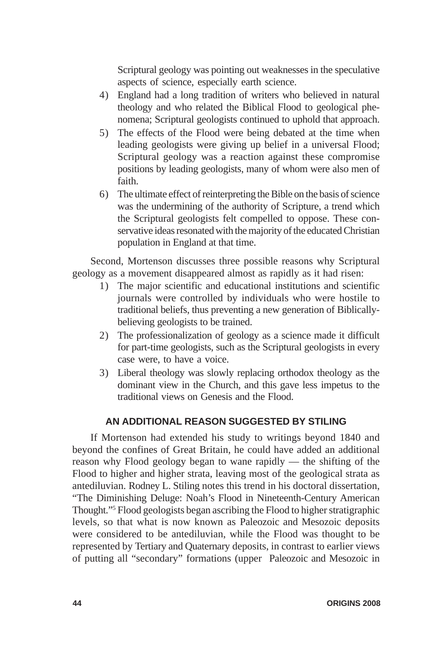Scriptural geology was pointing out weaknesses in the speculative aspects of science, especially earth science.

- 4) England had a long tradition of writers who believed in natural theology and who related the Biblical Flood to geological phenomena; Scriptural geologists continued to uphold that approach.
- 5) The effects of the Flood were being debated at the time when leading geologists were giving up belief in a universal Flood; Scriptural geology was a reaction against these compromise positions by leading geologists, many of whom were also men of faith.
- 6) The ultimate effect of reinterpreting the Bible on the basis of science was the undermining of the authority of Scripture, a trend which the Scriptural geologists felt compelled to oppose. These conservative ideas resonated with the majority of the educated Christian population in England at that time.

Second, Mortenson discusses three possible reasons why Scriptural geology as a movement disappeared almost as rapidly as it had risen:

- 1) The major scientific and educational institutions and scientific journals were controlled by individuals who were hostile to traditional beliefs, thus preventing a new generation of Biblicallybelieving geologists to be trained.
- 2) The professionalization of geology as a science made it difficult for part-time geologists, such as the Scriptural geologists in every case were, to have a voice.
- 3) Liberal theology was slowly replacing orthodox theology as the dominant view in the Church, and this gave less impetus to the traditional views on Genesis and the Flood.

## **AN ADDITIONAL REASON SUGGESTED BY STILING**

If Mortenson had extended his study to writings beyond 1840 and beyond the confines of Great Britain, he could have added an additional reason why Flood geology began to wane rapidly — the shifting of the Flood to higher and higher strata, leaving most of the geological strata as antediluvian. Rodney L. Stiling notes this trend in his doctoral dissertation, "The Diminishing Deluge: Noah's Flood in Nineteenth-Century American Thought."5 Flood geologists began ascribing the Flood to higher stratigraphic levels, so that what is now known as Paleozoic and Mesozoic deposits were considered to be antediluvian, while the Flood was thought to be represented by Tertiary and Quaternary deposits, in contrast to earlier views of putting all "secondary" formations (upper Paleozoic and Mesozoic in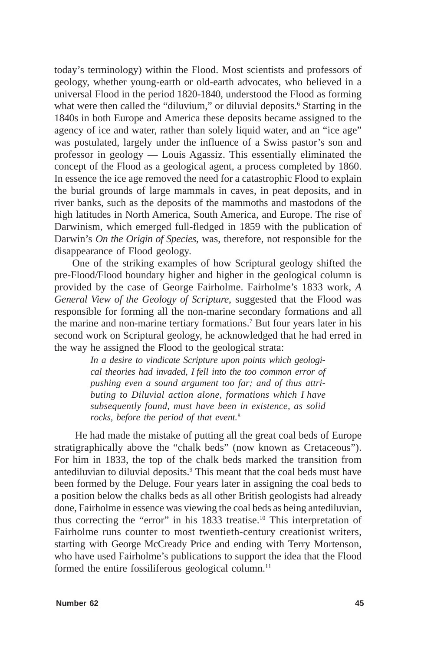today's terminology) within the Flood. Most scientists and professors of geology, whether young-earth or old-earth advocates, who believed in a universal Flood in the period 1820-1840, understood the Flood as forming what were then called the "diluvium," or diluvial deposits.<sup>6</sup> Starting in the 1840s in both Europe and America these deposits became assigned to the agency of ice and water, rather than solely liquid water, and an "ice age" was postulated, largely under the influence of a Swiss pastor's son and professor in geology — Louis Agassiz. This essentially eliminated the concept of the Flood as a geological agent, a process completed by 1860. In essence the ice age removed the need for a catastrophic Flood to explain the burial grounds of large mammals in caves, in peat deposits, and in river banks, such as the deposits of the mammoths and mastodons of the high latitudes in North America, South America, and Europe. The rise of Darwinism, which emerged full-fledged in 1859 with the publication of Darwin's *On the Origin of Species*, was, therefore, not responsible for the disappearance of Flood geology.

One of the striking examples of how Scriptural geology shifted the pre-Flood/Flood boundary higher and higher in the geological column is provided by the case of George Fairholme. Fairholme's 1833 work, *A General View of the Geology of Scripture*, suggested that the Flood was responsible for forming all the non-marine secondary formations and all the marine and non-marine tertiary formations.7 But four years later in his second work on Scriptural geology, he acknowledged that he had erred in the way he assigned the Flood to the geological strata:

> *In a desire to vindicate Scripture upon points which geological theories had invaded, I fell into the too common error of pushing even a sound argument too far; and of thus attributing to Diluvial action alone, formations which I have subsequently found, must have been in existence, as solid rocks, before the period of that event.*<sup>8</sup>

 He had made the mistake of putting all the great coal beds of Europe stratigraphically above the "chalk beds" (now known as Cretaceous"). For him in 1833, the top of the chalk beds marked the transition from antediluvian to diluvial deposits.<sup>9</sup> This meant that the coal beds must have been formed by the Deluge. Four years later in assigning the coal beds to a position below the chalks beds as all other British geologists had already done, Fairholme in essence was viewing the coal beds as being antediluvian, thus correcting the "error" in his 1833 treatise.<sup>10</sup> This interpretation of Fairholme runs counter to most twentieth-century creationist writers, starting with George McCready Price and ending with Terry Mortenson, who have used Fairholme's publications to support the idea that the Flood formed the entire fossiliferous geological column.<sup>11</sup>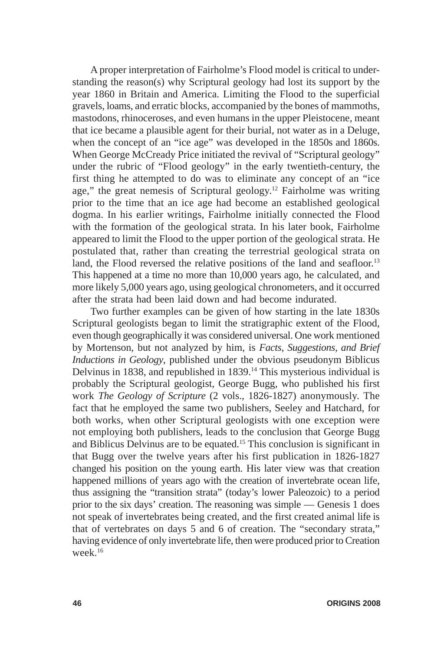A proper interpretation of Fairholme's Flood model is critical to understanding the reason(s) why Scriptural geology had lost its support by the year 1860 in Britain and America. Limiting the Flood to the superficial gravels, loams, and erratic blocks, accompanied by the bones of mammoths, mastodons, rhinoceroses, and even humans in the upper Pleistocene, meant that ice became a plausible agent for their burial, not water as in a Deluge, when the concept of an "ice age" was developed in the 1850s and 1860s. When George McCready Price initiated the revival of "Scriptural geology" under the rubric of "Flood geology" in the early twentieth-century, the first thing he attempted to do was to eliminate any concept of an "ice age," the great nemesis of Scriptural geology.<sup>12</sup> Fairholme was writing prior to the time that an ice age had become an established geological dogma. In his earlier writings, Fairholme initially connected the Flood with the formation of the geological strata. In his later book, Fairholme appeared to limit the Flood to the upper portion of the geological strata. He postulated that, rather than creating the terrestrial geological strata on land, the Flood reversed the relative positions of the land and seafloor.<sup>13</sup> This happened at a time no more than 10,000 years ago, he calculated, and more likely 5,000 years ago, using geological chronometers, and it occurred after the strata had been laid down and had become indurated.

Two further examples can be given of how starting in the late 1830s Scriptural geologists began to limit the stratigraphic extent of the Flood, even though geographically it was considered universal. One work mentioned by Mortenson, but not analyzed by him, is *Facts, Suggestions, and Brief Inductions in Geology*, published under the obvious pseudonym Biblicus Delvinus in 1838, and republished in 1839.<sup>14</sup> This mysterious individual is probably the Scriptural geologist, George Bugg, who published his first work *The Geology of Scripture* (2 vols., 1826-1827) anonymously. The fact that he employed the same two publishers, Seeley and Hatchard, for both works, when other Scriptural geologists with one exception were not employing both publishers, leads to the conclusion that George Bugg and Biblicus Delvinus are to be equated.15 This conclusion is significant in that Bugg over the twelve years after his first publication in 1826-1827 changed his position on the young earth. His later view was that creation happened millions of years ago with the creation of invertebrate ocean life, thus assigning the "transition strata" (today's lower Paleozoic) to a period prior to the six days' creation. The reasoning was simple — Genesis 1 does not speak of invertebrates being created, and the first created animal life is that of vertebrates on days 5 and 6 of creation. The "secondary strata," having evidence of only invertebrate life, then were produced prior to Creation  $w$ eek. $16$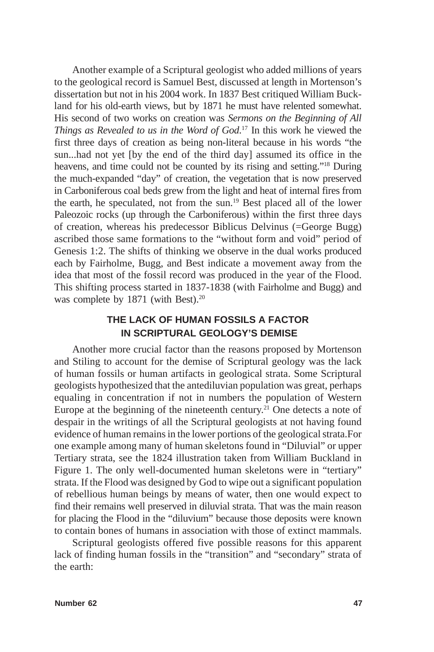Another example of a Scriptural geologist who added millions of years to the geological record is Samuel Best, discussed at length in Mortenson's dissertation but not in his 2004 work. In 1837 Best critiqued William Buckland for his old-earth views, but by 1871 he must have relented somewhat. His second of two works on creation was *Sermons on the Beginning of All Things as Revealed to us in the Word of God*. 17 In this work he viewed the first three days of creation as being non-literal because in his words "the sun...had not yet [by the end of the third day] assumed its office in the heavens, and time could not be counted by its rising and setting."18 During the much-expanded "day" of creation, the vegetation that is now preserved in Carboniferous coal beds grew from the light and heat of internal fires from the earth, he speculated, not from the sun.19 Best placed all of the lower Paleozoic rocks (up through the Carboniferous) within the first three days of creation, whereas his predecessor Biblicus Delvinus (=George Bugg) ascribed those same formations to the "without form and void" period of Genesis 1:2. The shifts of thinking we observe in the dual works produced each by Fairholme, Bugg, and Best indicate a movement away from the idea that most of the fossil record was produced in the year of the Flood. This shifting process started in 1837-1838 (with Fairholme and Bugg) and was complete by 1871 (with Best).<sup>20</sup>

## **THE LACK OF HUMAN FOSSILS A FACTOR IN SCRIPTURAL GEOLOGY'S DEMISE**

Another more crucial factor than the reasons proposed by Mortenson and Stiling to account for the demise of Scriptural geology was the lack of human fossils or human artifacts in geological strata. Some Scriptural geologists hypothesized that the antediluvian population was great, perhaps equaling in concentration if not in numbers the population of Western Europe at the beginning of the nineteenth century.<sup>21</sup> One detects a note of despair in the writings of all the Scriptural geologists at not having found evidence of human remains in the lower portions of the geological strata.For one example among many of human skeletons found in "Diluvial" or upper Tertiary strata, see the 1824 illustration taken from William Buckland in Figure 1. The only well-documented human skeletons were in "tertiary" strata. If the Flood was designed by God to wipe out a significant population of rebellious human beings by means of water, then one would expect to find their remains well preserved in diluvial strata. That was the main reason for placing the Flood in the "diluvium" because those deposits were known to contain bones of humans in association with those of extinct mammals.

Scriptural geologists offered five possible reasons for this apparent lack of finding human fossils in the "transition" and "secondary" strata of the earth: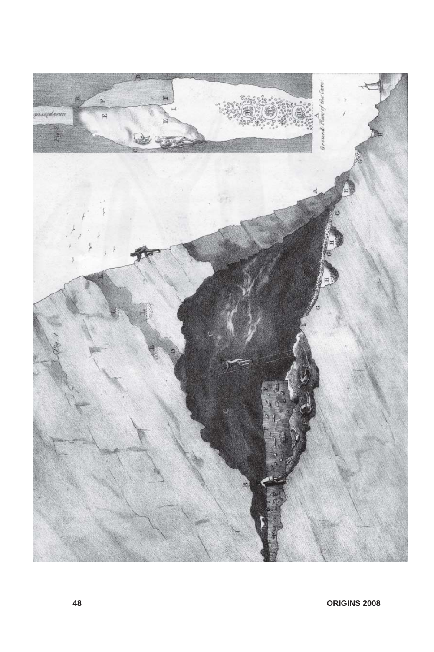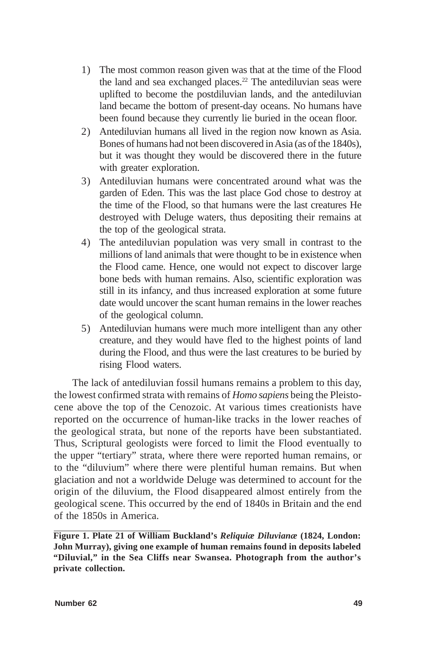- 1) The most common reason given was that at the time of the Flood the land and sea exchanged places.<sup>22</sup> The antediluvian seas were uplifted to become the postdiluvian lands, and the antediluvian land became the bottom of present-day oceans. No humans have been found because they currently lie buried in the ocean floor.
- 2) Antediluvian humans all lived in the region now known as Asia. Bones of humans had not been discovered in Asia (as of the 1840s), but it was thought they would be discovered there in the future with greater exploration.
- 3) Antediluvian humans were concentrated around what was the garden of Eden. This was the last place God chose to destroy at the time of the Flood, so that humans were the last creatures He destroyed with Deluge waters, thus depositing their remains at the top of the geological strata.
- 4) The antediluvian population was very small in contrast to the millions of land animals that were thought to be in existence when the Flood came. Hence, one would not expect to discover large bone beds with human remains. Also, scientific exploration was still in its infancy, and thus increased exploration at some future date would uncover the scant human remains in the lower reaches of the geological column.
- 5) Antediluvian humans were much more intelligent than any other creature, and they would have fled to the highest points of land during the Flood, and thus were the last creatures to be buried by rising Flood waters.

The lack of antediluvian fossil humans remains a problem to this day, the lowest confirmed strata with remains of *Homo sapiens* being the Pleistocene above the top of the Cenozoic. At various times creationists have reported on the occurrence of human-like tracks in the lower reaches of the geological strata, but none of the reports have been substantiated. Thus, Scriptural geologists were forced to limit the Flood eventually to the upper "tertiary" strata, where there were reported human remains, or to the "diluvium" where there were plentiful human remains. But when glaciation and not a worldwide Deluge was determined to account for the origin of the diluvium, the Flood disappeared almost entirely from the geological scene. This occurred by the end of 1840s in Britain and the end of the 1850s in America.

**Figure 1. Plate 21 of William Buckland's** *Reliquiæ Diluvianæ* **(1824, London: John Murray), giving one example of human remains found in deposits labeled "Diluvial," in the Sea Cliffs near Swansea. Photograph from the author's private collection.**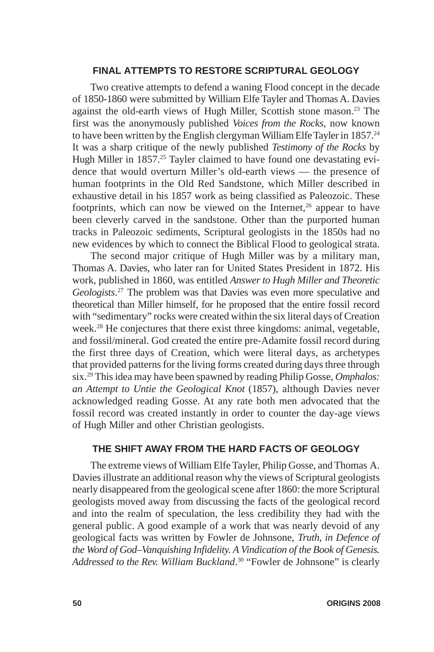### **FINAL ATTEMPTS TO RESTORE SCRIPTURAL GEOLOGY**

Two creative attempts to defend a waning Flood concept in the decade of 1850-1860 were submitted by William Elfe Tayler and Thomas A. Davies against the old-earth views of Hugh Miller, Scottish stone mason.<sup>23</sup> The first was the anonymously published *Voices from the Rocks*, now known to have been written by the English clergyman William Elfe Tayler in  $1857.^{24}$ It was a sharp critique of the newly published *Testimony of the Rocks* by Hugh Miller in  $1857<sup>25</sup>$  Tayler claimed to have found one devastating evidence that would overturn Miller's old-earth views — the presence of human footprints in the Old Red Sandstone, which Miller described in exhaustive detail in his 1857 work as being classified as Paleozoic. These footprints, which can now be viewed on the Internet,  $26$  appear to have been cleverly carved in the sandstone. Other than the purported human tracks in Paleozoic sediments, Scriptural geologists in the 1850s had no new evidences by which to connect the Biblical Flood to geological strata.

The second major critique of Hugh Miller was by a military man, Thomas A. Davies, who later ran for United States President in 1872. His work, published in 1860, was entitled *Answer to Hugh Miller and Theoretic Geologists*. 27 The problem was that Davies was even more speculative and theoretical than Miller himself, for he proposed that the entire fossil record with "sedimentary" rocks were created within the six literal days of Creation week.<sup>28</sup> He conjectures that there exist three kingdoms: animal, vegetable, and fossil/mineral. God created the entire pre-Adamite fossil record during the first three days of Creation, which were literal days, as archetypes that provided patterns for the living forms created during days three through six.29 This idea may have been spawned by reading Philip Gosse, *Omphalos: an Attempt to Untie the Geological Knot* (1857), although Davies never acknowledged reading Gosse. At any rate both men advocated that the fossil record was created instantly in order to counter the day-age views of Hugh Miller and other Christian geologists.

### **THE SHIFT AWAY FROM THE HARD FACTS OF GEOLOGY**

The extreme views of William Elfe Tayler, Philip Gosse, and Thomas A. Davies illustrate an additional reason why the views of Scriptural geologists nearly disappeared from the geological scene after 1860: the more Scriptural geologists moved away from discussing the facts of the geological record and into the realm of speculation, the less credibility they had with the general public. A good example of a work that was nearly devoid of any geological facts was written by Fowler de Johnsone, *Truth, in Defence of the Word of God–Vanquishing Infidelity. A Vindication of the Book of Genesis. Addressed to the Rev. William Buckland*. 30 "Fowler de Johnsone" is clearly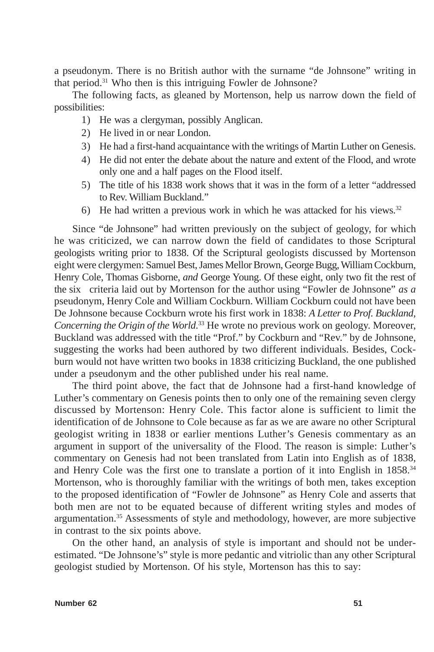a pseudonym. There is no British author with the surname "de Johnsone" writing in that period.31 Who then is this intriguing Fowler de Johnsone?

The following facts, as gleaned by Mortenson, help us narrow down the field of possibilities:

- 1) He was a clergyman, possibly Anglican.
- 2) He lived in or near London.
- 3) He had a first-hand acquaintance with the writings of Martin Luther on Genesis.
- 4) He did not enter the debate about the nature and extent of the Flood, and wrote only one and a half pages on the Flood itself.
- 5) The title of his 1838 work shows that it was in the form of a letter "addressed to Rev. William Buckland."
- 6) He had written a previous work in which he was attacked for his views. $32$

Since "de Johnsone" had written previously on the subject of geology, for which he was criticized, we can narrow down the field of candidates to those Scriptural geologists writing prior to 1838. Of the Scriptural geologists discussed by Mortenson eight were clergymen: Samuel Best, James Mellor Brown, George Bugg, William Cockburn, Henry Cole, Thomas Gisborne, *and* George Young. Of these eight, only two fit the rest of the six criteria laid out by Mortenson for the author using "Fowler de Johnsone" *as a* pseudonym, Henry Cole and William Cockburn. William Cockburn could not have been De Johnsone because Cockburn wrote his first work in 1838: *A Letter to Prof. Buckland, Concerning the Origin of the World*. 33 He wrote no previous work on geology. Moreover, Buckland was addressed with the title "Prof." by Cockburn and "Rev." by de Johnsone, suggesting the works had been authored by two different individuals. Besides, Cockburn would not have written two books in 1838 criticizing Buckland, the one published under a pseudonym and the other published under his real name.

The third point above, the fact that de Johnsone had a first-hand knowledge of Luther's commentary on Genesis points then to only one of the remaining seven clergy discussed by Mortenson: Henry Cole. This factor alone is sufficient to limit the identification of de Johnsone to Cole because as far as we are aware no other Scriptural geologist writing in 1838 or earlier mentions Luther's Genesis commentary as an argument in support of the universality of the Flood. The reason is simple: Luther's commentary on Genesis had not been translated from Latin into English as of 1838, and Henry Cole was the first one to translate a portion of it into English in 1858.34 Mortenson, who is thoroughly familiar with the writings of both men, takes exception to the proposed identification of "Fowler de Johnsone" as Henry Cole and asserts that both men are not to be equated because of different writing styles and modes of argumentation.35 Assessments of style and methodology, however, are more subjective in contrast to the six points above.

On the other hand, an analysis of style is important and should not be underestimated. "De Johnsone's" style is more pedantic and vitriolic than any other Scriptural geologist studied by Mortenson. Of his style, Mortenson has this to say: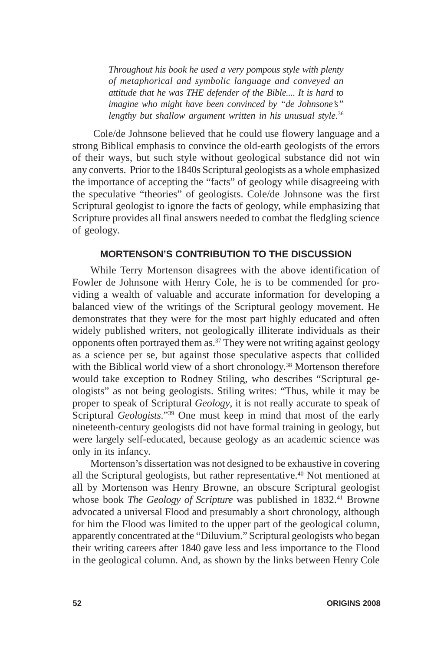*Throughout his book he used a very pompous style with plenty of metaphorical and symbolic language and conveyed an attitude that he was THE defender of the Bible.... It is hard to imagine who might have been convinced by "de Johnsone's" lengthy but shallow argument written in his unusual style.*<sup>36</sup>

 Cole/de Johnsone believed that he could use flowery language and a strong Biblical emphasis to convince the old-earth geologists of the errors of their ways, but such style without geological substance did not win any converts. Prior to the 1840s Scriptural geologists as a whole emphasized the importance of accepting the "facts" of geology while disagreeing with the speculative "theories" of geologists. Cole/de Johnsone was the first Scriptural geologist to ignore the facts of geology, while emphasizing that Scripture provides all final answers needed to combat the fledgling science of geology.

#### **MORTENSON'S CONTRIBUTION TO THE DISCUSSION**

While Terry Mortenson disagrees with the above identification of Fowler de Johnsone with Henry Cole, he is to be commended for providing a wealth of valuable and accurate information for developing a balanced view of the writings of the Scriptural geology movement. He demonstrates that they were for the most part highly educated and often widely published writers, not geologically illiterate individuals as their opponents often portrayed them as.37 They were not writing against geology as a science per se, but against those speculative aspects that collided with the Biblical world view of a short chronology.<sup>38</sup> Mortenson therefore would take exception to Rodney Stiling, who describes "Scriptural geologists" as not being geologists. Stiling writes: "Thus, while it may be proper to speak of Scriptural *Geology*, it is not really accurate to speak of Scriptural *Geologists*."39 One must keep in mind that most of the early nineteenth-century geologists did not have formal training in geology, but were largely self-educated, because geology as an academic science was only in its infancy.

Mortenson's dissertation was not designed to be exhaustive in covering all the Scriptural geologists, but rather representative.<sup>40</sup> Not mentioned at all by Mortenson was Henry Browne, an obscure Scriptural geologist whose book *The Geology of Scripture* was published in 1832.<sup>41</sup> Browne advocated a universal Flood and presumably a short chronology, although for him the Flood was limited to the upper part of the geological column, apparently concentrated at the "Diluvium." Scriptural geologists who began their writing careers after 1840 gave less and less importance to the Flood in the geological column. And, as shown by the links between Henry Cole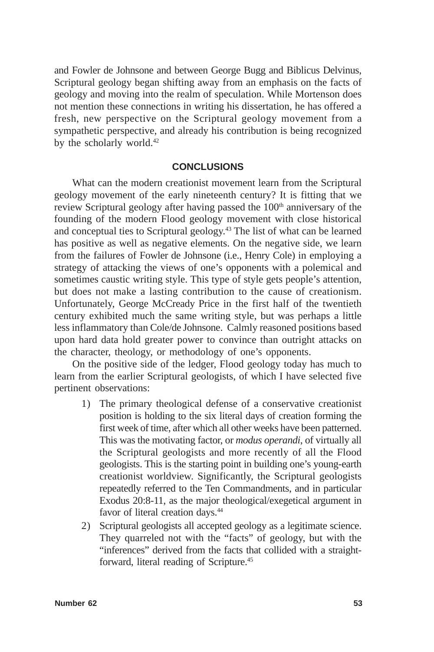and Fowler de Johnsone and between George Bugg and Biblicus Delvinus, Scriptural geology began shifting away from an emphasis on the facts of geology and moving into the realm of speculation. While Mortenson does not mention these connections in writing his dissertation, he has offered a fresh, new perspective on the Scriptural geology movement from a sympathetic perspective, and already his contribution is being recognized by the scholarly world.<sup>42</sup>

#### **CONCLUSIONS**

What can the modern creationist movement learn from the Scriptural geology movement of the early nineteenth century? It is fitting that we review Scriptural geology after having passed the 100<sup>th</sup> anniversary of the founding of the modern Flood geology movement with close historical and conceptual ties to Scriptural geology.43 The list of what can be learned has positive as well as negative elements. On the negative side, we learn from the failures of Fowler de Johnsone (i.e., Henry Cole) in employing a strategy of attacking the views of one's opponents with a polemical and sometimes caustic writing style. This type of style gets people's attention, but does not make a lasting contribution to the cause of creationism. Unfortunately, George McCready Price in the first half of the twentieth century exhibited much the same writing style, but was perhaps a little less inflammatory than Cole/de Johnsone. Calmly reasoned positions based upon hard data hold greater power to convince than outright attacks on the character, theology, or methodology of one's opponents.

On the positive side of the ledger, Flood geology today has much to learn from the earlier Scriptural geologists, of which I have selected five pertinent observations:

- 1) The primary theological defense of a conservative creationist position is holding to the six literal days of creation forming the first week of time, after which all other weeks have been patterned. This was the motivating factor, or *modus operandi*, of virtually all the Scriptural geologists and more recently of all the Flood geologists. This is the starting point in building one's young-earth creationist worldview. Significantly, the Scriptural geologists repeatedly referred to the Ten Commandments, and in particular Exodus 20:8-11, as the major theological/exegetical argument in favor of literal creation days.<sup>44</sup>
- 2) Scriptural geologists all accepted geology as a legitimate science. They quarreled not with the "facts" of geology, but with the "inferences" derived from the facts that collided with a straightforward, literal reading of Scripture.45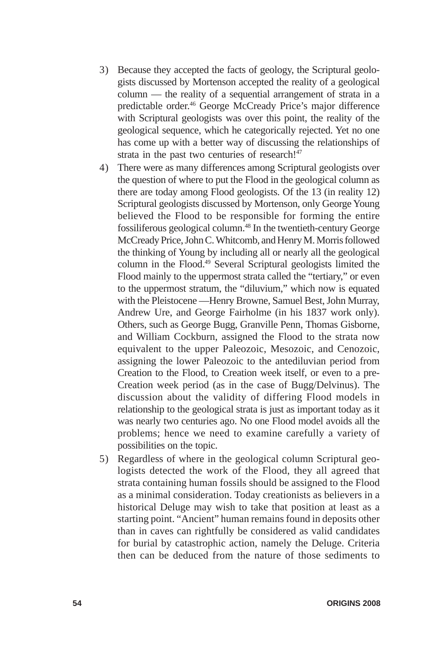- 3) Because they accepted the facts of geology, the Scriptural geologists discussed by Mortenson accepted the reality of a geological column — the reality of a sequential arrangement of strata in a predictable order.46 George McCready Price's major difference with Scriptural geologists was over this point, the reality of the geological sequence, which he categorically rejected. Yet no one has come up with a better way of discussing the relationships of strata in the past two centuries of research!<sup>47</sup>
- 4) There were as many differences among Scriptural geologists over the question of where to put the Flood in the geological column as there are today among Flood geologists. Of the 13 (in reality 12) Scriptural geologists discussed by Mortenson, only George Young believed the Flood to be responsible for forming the entire fossiliferous geological column.48 In the twentieth-century George McCready Price, John C. Whitcomb, and Henry M. Morris followed the thinking of Young by including all or nearly all the geological column in the Flood.49 Several Scriptural geologists limited the Flood mainly to the uppermost strata called the "tertiary," or even to the uppermost stratum, the "diluvium," which now is equated with the Pleistocene —Henry Browne, Samuel Best, John Murray, Andrew Ure, and George Fairholme (in his 1837 work only). Others, such as George Bugg, Granville Penn, Thomas Gisborne, and William Cockburn, assigned the Flood to the strata now equivalent to the upper Paleozoic, Mesozoic, and Cenozoic, assigning the lower Paleozoic to the antediluvian period from Creation to the Flood, to Creation week itself, or even to a pre-Creation week period (as in the case of Bugg/Delvinus). The discussion about the validity of differing Flood models in relationship to the geological strata is just as important today as it was nearly two centuries ago. No one Flood model avoids all the problems; hence we need to examine carefully a variety of possibilities on the topic.
- 5) Regardless of where in the geological column Scriptural geologists detected the work of the Flood, they all agreed that strata containing human fossils should be assigned to the Flood as a minimal consideration. Today creationists as believers in a historical Deluge may wish to take that position at least as a starting point. "Ancient" human remains found in deposits other than in caves can rightfully be considered as valid candidates for burial by catastrophic action, namely the Deluge. Criteria then can be deduced from the nature of those sediments to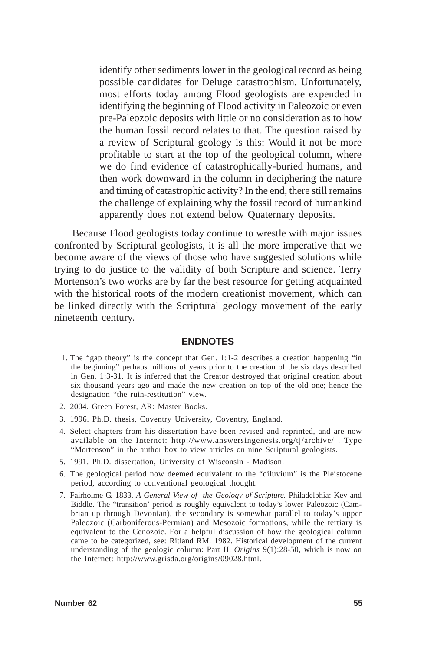identify other sediments lower in the geological record as being possible candidates for Deluge catastrophism. Unfortunately, most efforts today among Flood geologists are expended in identifying the beginning of Flood activity in Paleozoic or even pre-Paleozoic deposits with little or no consideration as to how the human fossil record relates to that. The question raised by a review of Scriptural geology is this: Would it not be more profitable to start at the top of the geological column, where we do find evidence of catastrophically-buried humans, and then work downward in the column in deciphering the nature and timing of catastrophic activity? In the end, there still remains the challenge of explaining why the fossil record of humankind apparently does not extend below Quaternary deposits.

Because Flood geologists today continue to wrestle with major issues confronted by Scriptural geologists, it is all the more imperative that we become aware of the views of those who have suggested solutions while trying to do justice to the validity of both Scripture and science. Terry Mortenson's two works are by far the best resource for getting acquainted with the historical roots of the modern creationist movement, which can be linked directly with the Scriptural geology movement of the early nineteenth century.

#### **ENDNOTES**

- 1. The "gap theory" is the concept that Gen. 1:1-2 describes a creation happening "in the beginning" perhaps millions of years prior to the creation of the six days described in Gen. 1:3-31. It is inferred that the Creator destroyed that original creation about six thousand years ago and made the new creation on top of the old one; hence the designation "the ruin-restitution" view.
- 2. 2004. Green Forest, AR: Master Books.
- 3. 1996. Ph.D. thesis, Coventry University, Coventry, England.
- 4. Select chapters from his dissertation have been revised and reprinted, and are now available on the Internet: http://www.answersingenesis.org/tj/archive/ . Type "Mortenson" in the author box to view articles on nine Scriptural geologists.
- 5. 1991. Ph.D. dissertation, University of Wisconsin Madison.
- 6. The geological period now deemed equivalent to the "diluvium" is the Pleistocene period, according to conventional geological thought.
- 7. Fairholme G. 1833. *A General View of the Geology of Scripture.* Philadelphia: Key and Biddle. The "transition' period is roughly equivalent to today's lower Paleozoic (Cambrian up through Devonian), the secondary is somewhat parallel to today's upper Paleozoic (Carboniferous-Permian) and Mesozoic formations, while the tertiary is equivalent to the Cenozoic. For a helpful discussion of how the geological column came to be categorized, see: Ritland RM. 1982. Historical development of the current understanding of the geologic column: Part II. *Origins* 9(1):28-50, which is now on the Internet: http://www.grisda.org/origins/09028.html.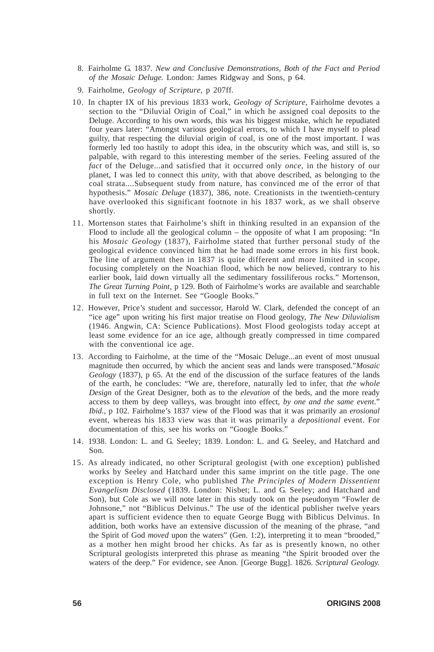- 8. Fairholme G. 1837. *New and Conclusive Demonstrations, Both of the Fact and Period of the Mosaic Deluge.* London: James Ridgway and Sons, p 64.
- 9. Fairholme, *Geology of Scripture*, p 207ff.
- 10. In chapter IX of his previous 1833 work, *Geology of Scripture*, Fairholme devotes a section to the "Diluvial Origin of Coal," in which he assigned coal deposits to the Deluge. According to his own words, this was his biggest mistake, which he repudiated four years later: "Amongst various geological errors, to which I have myself to plead guilty, that respecting the diluvial origin of coal, is one of the most important. I was formerly led too hastily to adopt this idea, in the obscurity which was, and still is, so palpable, with regard to this interesting member of the series. Feeling assured of the *fact* of the Deluge...and satisfied that it occurred only *once*, in the history of our planet, I was led to connect this *unity*, with that above described, as belonging to the coal strata....Subsequent study from nature, has convinced me of the error of that hypothesis." *Mosaic Deluge* (1837), 386, note. Creationists in the twentieth-century have overlooked this significant footnote in his 1837 work, as we shall observe shortly.
- 11. Mortenson states that Fairholme's shift in thinking resulted in an expansion of the Flood to include all the geological column – the opposite of what I am proposing: "In his *Mosaic Geology* (1837), Fairholme stated that further personal study of the geological evidence convinced him that he had made some errors in his first book. The line of argument then in 1837 is quite different and more limited in scope, focusing completely on the Noachian flood, which he now believed, contrary to his earlier book, laid down virtually all the sedimentary fossiliferous rocks." Mortenson, *The Great Turning Point*, p 129. Both of Fairholme's works are available and searchable in full text on the Internet. See "Google Books."
- 12. However, Price's student and successor, Harold W. Clark, defended the concept of an "ice age" upon writing his first major treatise on Flood geology, *The New Diluvialism* (1946. Angwin, CA: Science Publications). Most Flood geologists today accept at least some evidence for an ice age, although greatly compressed in time compared with the conventional ice age.
- 13. According to Fairholme, at the time of the "Mosaic Deluge...an event of most unusual magnitude then occurred, by which the ancient seas and lands were transposed."*Mosaic Geology* (1837), p 65. At the end of the discussion of the surface features of the lands of the earth, he concludes: "We are, therefore, naturally led to infer, that *the whole Design* of the Great Designer, both as to the *elevation* of the beds, and the more ready access to them by deep valleys, was brought into effect, *by one and the same event*." *Ibid*., p 102. Fairholme's 1837 view of the Flood was that it was primarily an *erosional* event, whereas his 1833 view was that it was primarily a *depositional* event. For documentation of this, see his works on "Google Books."
- 14. 1938. London: L. and G. Seeley; 1839. London: L. and G. Seeley, and Hatchard and Son.
- 15. As already indicated, no other Scriptural geologist (with one exception) published works by Seeley and Hatchard under this same imprint on the title page. The one exception is Henry Cole, who published *The Principles of Modern Dissentient Evangelism Disclosed* (1839. London: Nisbet; L. and G. Seeley; and Hatchard and Son), but Cole as we will note later in this study took on the pseudonym "Fowler de Johnsone," not "Biblicus Delvinus." The use of the identical publisher twelve years apart is sufficient evidence then to equate George Bugg with Biblicus Delvinus. In addition, both works have an extensive discussion of the meaning of the phrase, "and the Spirit of God *moved* upon the waters" (Gen. 1:2), interpreting it to mean "brooded," as a mother hen might brood her chicks. As far as is presently known, no other Scriptural geologists interpreted this phrase as meaning "the Spirit brooded over the waters of the deep." For evidence, see Anon. [George Bugg]. 1826. *Scriptural Geology.*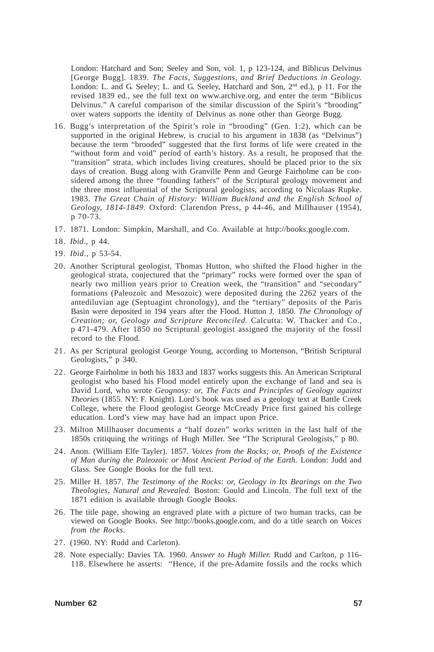London: Hatchard and Son; Seeley and Son, vol. 1, p 123-124, and Biblicus Delvinus [George Bugg]. 1839. *The Facts, Suggestions, and Brief Deductions in Geology.* London: L. and G. Seeley; L. and G. Seeley, Hatchard and Son,  $2<sup>nd</sup>$  ed.), p 11. For the revised 1839 ed., see the full text on www.archive.org, and enter the term "Biblicus Delvinus." A careful comparison of the similar discussion of the Spirit's "brooding" over waters supports the identity of Delvinus as none other than George Bugg.

- 16. Bugg's interpretation of the Spirit's role in "brooding" (Gen. 1:2), which can be supported in the original Hebrew, is crucial to his argument in 1838 (as "Delvinus") because the term "brooded" suggested that the first forms of life were created in the "without form and void" period of earth's history. As a result, he proposed that the "transition" strata, which includes living creatures, should be placed prior to the six days of creation. Bugg along with Granville Penn and George Fairholme can be considered among the three "founding fathers" of the Scriptural geology movement and the three most influential of the Scriptural geologists, according to Nicolaas Rupke. 1983. *The Great Chain of History: William Buckland and the English School of Geology, 1814-1849.* Oxford: Clarendon Press, p 44-46, and Millhauser (1954), p 70-73.
- 17. 1871. London: Simpkin, Marshall, and Co. Available at http://books.google.com.
- 18. *Ibid*., p 44.
- 19. *Ibid*., p 53-54.
- 20. Another Scriptural geologist, Thomas Hutton, who shifted the Flood higher in the geological strata, conjectured that the "primary" rocks were formed over the span of nearly two million years prior to Creation week, the "transition" and "secondary" formations (Paleozoic and Mesozoic) were deposited during the 2262 years of the antediluvian age (Septuagint chronology), and the "tertiary" deposits of the Paris Basin were deposited in 194 years after the Flood. Hutton J. 1850. *The Chronology of Creation; or, Geology and Scripture Reconciled.* Calcutta: W. Thacker and Co., p 471-479. After 1850 no Scriptural geologist assigned the majority of the fossil record to the Flood.
- 21. As per Scriptural geologist George Young, according to Mortenson, "British Scriptural Geologists," p 340.
- 22. George Fairholme in both his 1833 and 1837 works suggests this. An American Scriptural geologist who based his Flood model entirely upon the exchange of land and sea is David Lord, who wrote *Geognosy: or, The Facts and Principles of Geology against Theories* (1855. NY: F. Knight). Lord's book was used as a geology text at Battle Creek College, where the Flood geologist George McCready Price first gained his college education. Lord's view may have had an impact upon Price.
- 23. Milton Millhauser documents a "half dozen" works written in the last half of the 1850s critiquing the writings of Hugh Miller. See "The Scriptural Geologists," p 80.
- 24. Anon. (William Elfe Tayler). 1857. *Voices from the Rocks; or, Proofs of the Existence of Man during the Paleozoic or Most Ancient Period of the Earth.* London: Judd and Glass. See Google Books for the full text.
- 25. Miller H. 1857. *The Testimony of the Rocks: or, Geology in Its Bearings on the Two Theologies, Natural and Revealed.* Boston: Gould and Lincoln. The full text of the 1871 edition is available through Google Books.
- 26. The title page, showing an engraved plate with a picture of two human tracks, can be viewed on Google Books. See http://books.google.com, and do a title search on *Voices from the Rocks*.
- 27. (1960. NY: Rudd and Carleton).
- 28. Note especially: Davies TA. 1960. *Answer to Hugh Miller.* Rudd and Carlton, p 116- 118. Elsewhere he asserts: "Hence, if the pre-Adamite fossils and the rocks which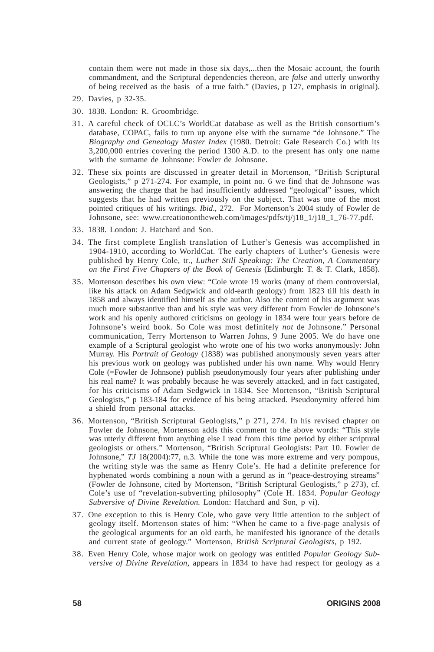contain them were not made in those six days,...then the Mosaic account, the fourth commandment, and the Scriptural dependencies thereon, are *false* and utterly unworthy of being received as the basis of a true faith." (Davies, p 127, emphasis in original).

- 29. Davies, p 32-35.
- 30. 1838. London: R. Groombridge.
- 31. A careful check of OCLC's WorldCat database as well as the British consortium's database, COPAC, fails to turn up anyone else with the surname "de Johnsone." The *Biography and Genealogy Master Index* (1980. Detroit: Gale Research Co.) with its 3,200,000 entries covering the period 1300 A.D. to the present has only one name with the surname de Johnsone: Fowler de Johnsone.
- 32. These six points are discussed in greater detail in Mortenson, "British Scriptural Geologists," p 271-274. For example, in point no. 6 we find that de Johnsone was answering the charge that he had insufficiently addressed "geological" issues, which suggests that he had written previously on the subject. That was one of the most pointed critiques of his writings. *Ibid*., 272. For Mortenson's 2004 study of Fowler de Johnsone, see: www.creationontheweb.com/images/pdfs/tj/j18\_1/j18\_1\_76-77.pdf.
- 33. 1838. London: J. Hatchard and Son.
- 34. The first complete English translation of Luther's Genesis was accomplished in 1904-1910, according to WorldCat. The early chapters of Luther's Genesis were published by Henry Cole, tr., *Luther Still Speaking: The Creation, A Commentary on the First Five Chapters of the Book of Genesis* (Edinburgh: T. & T. Clark, 1858).
- 35. Mortenson describes his own view: "Cole wrote 19 works (many of them controversial, like his attack on Adam Sedgwick and old-earth geology) from 1823 till his death in 1858 and always identified himself as the author. Also the content of his argument was much more substantive than and his style was very different from Fowler de Johnsone's work and his openly authored criticisms on geology in 1834 were four years before de Johnsone's weird book. So Cole was most definitely *not* de Johnsone." Personal communication, Terry Mortenson to Warren Johns, 9 June 2005. We do have one example of a Scriptural geologist who wrote one of his two works anonymously: John Murray. His *Portrait of Geology* (1838) was published anonymously seven years after his previous work on geology was published under his own name. Why would Henry Cole (=Fowler de Johnsone) publish pseudonymously four years after publishing under his real name? It was probably because he was severely attacked, and in fact castigated, for his criticisms of Adam Sedgwick in 1834. See Mortenson, "British Scriptural Geologists," p 183-184 for evidence of his being attacked. Pseudonymity offered him a shield from personal attacks.
- 36. Mortenson, "British Scriptural Geologists," p 271, 274. In his revised chapter on Fowler de Johnsone, Mortenson adds this comment to the above words: "This style was utterly different from anything else I read from this time period by either scriptural geologists or others." Mortenson, "British Scriptural Geologists: Part 10. Fowler de Johnsone," *TJ* 18(2004):77, n.3. While the tone was more extreme and very pompous, the writing style was the same as Henry Cole's. He had a definite preference for hyphenated words combining a noun with a gerund as in "peace-destroying streams" (Fowler de Johnsone, cited by Mortenson, "British Scriptural Geologists," p 273), cf. Cole's use of "revelation-subverting philosophy" (Cole H. 1834. *Popular Geology Subversive of Divine Revelation.* London: Hatchard and Son, p vi).
- 37. One exception to this is Henry Cole, who gave very little attention to the subject of geology itself. Mortenson states of him: "When he came to a five-page analysis of the geological arguments for an old earth, he manifested his ignorance of the details and current state of geology." Mortenson, *British Scriptural Geologists*, p 192.
- 38. Even Henry Cole, whose major work on geology was entitled *Popular Geology Subversive of Divine Revelation*, appears in 1834 to have had respect for geology as a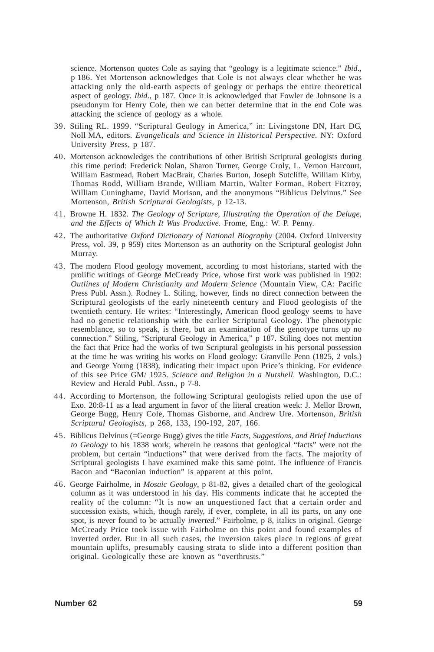science. Mortenson quotes Cole as saying that "geology is a legitimate science." *Ibid*., p 186. Yet Mortenson acknowledges that Cole is not always clear whether he was attacking only the old-earth aspects of geology or perhaps the entire theoretical aspect of geology. *Ibid*., p 187. Once it is acknowledged that Fowler de Johnsone is a pseudonym for Henry Cole, then we can better determine that in the end Cole was attacking the science of geology as a whole.

- 39. Stiling RL. 1999. "Scriptural Geology in America," in: Livingstone DN, Hart DG, Noll MA, editors. *Evangelicals and Science in Historical Perspective*. NY: Oxford University Press, p 187.
- 40. Mortenson acknowledges the contributions of other British Scriptural geologists during this time period: Frederick Nolan, Sharon Turner, George Croly, L. Vernon Harcourt, William Eastmead, Robert MacBrair, Charles Burton, Joseph Sutcliffe, William Kirby, Thomas Rodd, William Brande, William Martin, Walter Forman, Robert Fitzroy, William Cuninghame, David Morison, and the anonymous "Biblicus Delvinus." See Mortenson, *British Scriptural Geologists*, p 12-13.
- 41. Browne H. 1832. *The Geology of Scripture, Illustrating the Operation of the Deluge, and the Effects of Which It Was Productive.* Frome, Eng.: W. P. Penny.
- 42. The authoritative *Oxford Dictionary of National Biography* (2004. Oxford University Press, vol. 39, p 959) cites Mortenson as an authority on the Scriptural geologist John Murray.
- 43. The modern Flood geology movement, according to most historians, started with the prolific writings of George McCready Price, whose first work was published in 1902: *Outlines of Modern Christianity and Modern Science* (Mountain View, CA: Pacific Press Publ. Assn.). Rodney L. Stiling, however, finds no direct connection between the Scriptural geologists of the early nineteenth century and Flood geologists of the twentieth century. He writes: "Interestingly, American flood geology seems to have had no genetic relationship with the earlier Scriptural Geology. The phenotypic resemblance, so to speak, is there, but an examination of the genotype turns up no connection." Stiling, "Scriptural Geology in America," p 187. Stiling does not mention the fact that Price had the works of two Scriptural geologists in his personal possession at the time he was writing his works on Flood geology: Granville Penn (1825, 2 vols.) and George Young (1838), indicating their impact upon Price's thinking. For evidence of this see Price GM/ 1925. *Science and Religion in a Nutshell.* Washington, D.C.: Review and Herald Publ. Assn., p 7-8.
- 44. According to Mortenson, the following Scriptural geologists relied upon the use of Exo. 20:8-11 as a lead argument in favor of the literal creation week: J. Mellor Brown, George Bugg, Henry Cole, Thomas Gisborne, and Andrew Ure. Mortenson, *British Scriptural Geologists*, p 268, 133, 190-192, 207, 166.
- 45. Biblicus Delvinus (=George Bugg) gives the title *Facts, Suggestions, and Brief Inductions to Geology* to his 1838 work, wherein he reasons that geological "facts" were not the problem, but certain "inductions" that were derived from the facts. The majority of Scriptural geologists I have examined make this same point. The influence of Francis Bacon and "Baconian induction" is apparent at this point.
- 46. George Fairholme, in *Mosaic Geology*, p 81-82, gives a detailed chart of the geological column as it was understood in his day. His comments indicate that he accepted the reality of the column: "It is now an unquestioned fact that a certain order and succession exists, which, though rarely, if ever, complete, in all its parts, on any one spot, is never found to be actually *inverted*." Fairholme, p 8, italics in original. George McCready Price took issue with Fairholme on this point and found examples of inverted order. But in all such cases, the inversion takes place in regions of great mountain uplifts, presumably causing strata to slide into a different position than original. Geologically these are known as "overthrusts."